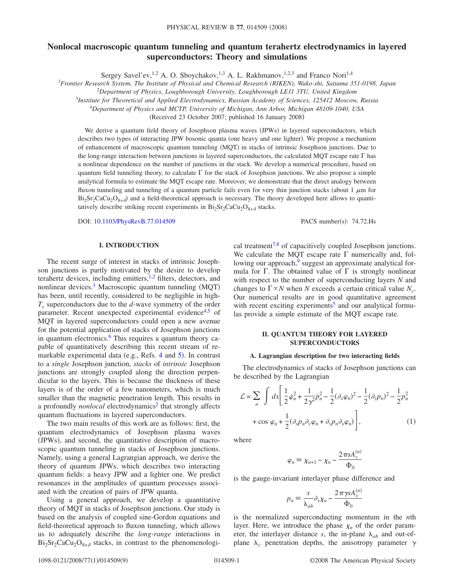# **Nonlocal macroscopic quantum tunneling and quantum terahertz electrodynamics in layered superconductors: Theory and simulations**

Sergey Savel'ev,<sup>1,2</sup> A. O. Sboychakov,<sup>1,3</sup> A. L. Rakhmanov,<sup>1,2,3</sup> and Franco Nori<sup>1,4</sup>

<sup>1</sup>*Frontier Research System, The Institute of Physical and Chemical Research (RIKEN), Wako-shi, Saitama 351-0198, Japan*

2 *Department of Physics, Loughborough University, Loughborough LE11 3TU, United Kingdom*

<sup>3</sup>*Institute for Theoretical and Applied Electrodynamics, Russian Academy of Sciences, 125412 Moscow, Russia*

<sup>4</sup>*Department of Physics and MCTP, University of Michigan, Ann Arbor, Michigan 48109-1040, USA*

(Received 23 October 2007; published 16 January 2008)

We derive a quantum field theory of Josephson plasma waves (JPWs) in layered superconductors, which describes two types of interacting JPW bosonic quanta (one heavy and one lighter). We propose a mechanism of enhancement of macroscopic quantum tunneling (MQT) in stacks of intrinsic Josephson junctions. Due to the long-range interaction between junctions in layered superconductors, the calculated MQT escape rate  $\Gamma$  has a nonlinear dependence on the number of junctions in the stack. We develop a numerical procedure, based on quantum field tunneling theory, to calculate  $\Gamma$  for the stack of Josephson junctions. We also propose a simple analytical formula to estimate the MQT escape rate. Moreover, we demonstrate that the direct analogy between fluxon tunneling and tunneling of a quantum particle fails even for very thin junction stacks (about  $1 \mu$ m for  $Bi_2Sr_2CaCu_2O_{8+\delta}$  and a field-theoretical approach is necessary. The theory developed here allows to quantitatively describe striking recent experiments in  $Bi_2Sr_2CaCu_2O_{8+\delta}$  stacks.

DOI: [10.1103/PhysRevB.77.014509](http://dx.doi.org/10.1103/PhysRevB.77.014509)

# **I. INTRODUCTION**

The recent surge of interest in stacks of intrinsic Josephson junctions is partly motivated by the desire to develop terahertz devices, including emitters,<sup>1[,2](#page-7-1)</sup> filters, detectors, and nonlinear devices.<sup>3</sup> Macroscopic quantum tunneling (MQT) has been, until recently, considered to be negligible in high-*T<sub>c</sub>* superconductors due to the *d*-wave symmetry of the order parameter. Recent unexpected experimental evidence<sup>4,[5](#page-7-4)</sup> of MQT in layered superconductors could open a new avenue for the potential application of stacks of Josephson junctions in quantum electronics.<sup>6</sup> This requires a quantum theory capable of quantitatively describing this recent stream of re-markable experimental data (e.g., Refs. [4](#page-7-3) and [5](#page-7-4)). In contrast to a *single* Josephson junction, *stacks* of *intrinsic* Josephson junctions are strongly coupled along the direction perpendicular to the layers. This is because the thickness of these layers is of the order of a few nanometers, which is much smaller than the magnetic penetration length. This results in a profoundly *nonlocal* electrodynamics<sup>2</sup> that strongly affects quantum fluctuations in layered superconductors.

The two main results of this work are as follows: first, the quantum electrodynamics of Josephson plasma waves (JPWs), and second, the quantitative description of macroscopic quantum tunneling in stacks of Josephson junctions. Namely, using a general Lagrangian approach, we derive the theory of quantum JPWs, which describes two interacting quantum fields: a heavy JPW and a lighter one. We predict resonances in the amplitudes of quantum processes associated with the creation of pairs of JPW quanta.

Using a general approach, we develop a quantitative theory of MQT in stacks of Josephson junctions. Our study is based on the analysis of coupled sine-Gordon equations and field-theoretical approach to fluxon tunneling, which allows us to adequately describe the *long-range* interactions in  $Bi_2Sr_2CaCu_2O_{8+\delta}$  stacks, in contrast to the phenomenological treatment<sup>7[,8](#page-8-1)</sup> of capacitively coupled Josephson junctions. We calculate the MOT escape rate  $\Gamma$  numerically and, following our approach, $9$  suggest an approximate analytical formula for  $\Gamma$ . The obtained value of  $\Gamma$  is strongly nonlinear with respect to the number of superconducting layers *N* and changes to  $\Gamma \propto N$  when *N* exceeds a certain critical value  $N_c$ . Our numerical results are in good quantitative agreement with recent exciting experiments<sup>5</sup> and our analytical formu-

PACS number(s): 74.72.Hs

## **II. QUANTUM THEORY FOR LAYERED SUPERCONDUCTORS**

las provide a simple estimate of the MQT escape rate.

### **A. Lagrangian description for two interacting fields**

The electrodynamics of stacks of Josephson junctions can be described by the Lagrangian

<span id="page-0-0"></span>
$$
\mathcal{L} = \sum_{n} \int dx \left[ \frac{1}{2} \dot{\varphi}_{n}^{2} + \frac{1}{2\gamma^{2}} \dot{p}_{n}^{2} - \frac{1}{2} (\partial_{x} \varphi_{n})^{2} - \frac{1}{2} (\partial_{y} p_{n})^{2} - \frac{1}{2} p_{n}^{2} + \cos \varphi_{n} + \frac{1}{2} (\partial_{x} p_{n} \partial_{y} \varphi_{n} + \partial_{y} p_{n} \partial_{x} \varphi_{n}) \right],
$$
\n(1)

where

$$
\varphi_n \equiv \chi_{n+1} - \chi_n - \frac{2\pi s A_y^{(n)}}{\Phi_0}
$$

is the gauge-invariant interlayer phase difference and

$$
p_n \equiv \frac{s}{\lambda_{ab}} \partial_x \chi_n - \frac{2\pi \gamma s A_x^{(n)}}{\Phi_0}
$$

is the normalized superconducting momentum in the *n*th layer. Here, we introduce the phase  $\chi_n$  of the order parameter, the interlayer distance *s*, the in-plane  $\lambda_{ab}$  and out-ofplane  $\lambda_c$  penetration depths, the anisotropy parameter  $\gamma$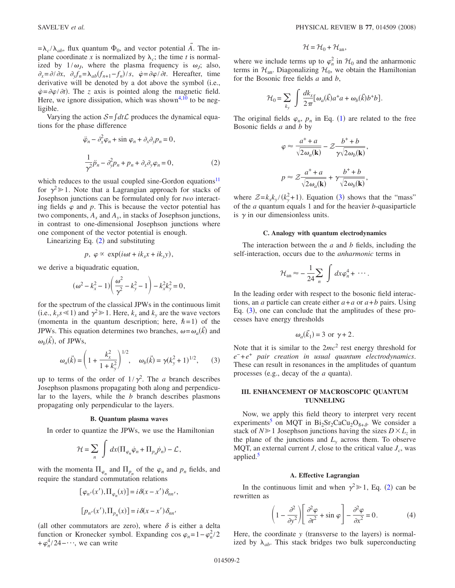$=\lambda_c/\lambda_{ab}$ , flux quantum  $\Phi_0$ , and vector potential  $\vec{A}$ . The inplane coordinate x is normalized by  $\lambda_c$ ; the time t is normalized by  $1/\omega_J$ , where the plasma frequency is  $\omega_J$ ; also,  $\partial_x = \partial/\partial x$ ,  $\partial_y f_n = \lambda_{ab} (f_{n+1} - f_n)/s$ ,  $\dot{\varphi} = \partial \varphi/\partial t$ . Hereafter, time derivative will be denoted by a dot above the symbol (i.e.,  $\dot{\varphi} = \partial \varphi / \partial t$ . The *z* axis is pointed along the magnetic field. Here, we ignore dissipation, which was shown<sup>4[,10](#page-8-3)</sup> to be negligible.

<span id="page-1-0"></span>Varying the action  $S = \int dt \mathcal{L}$  produces the dynamical equations for the phase difference

$$
\ddot{\varphi}_n - \partial_x^2 \varphi_n + \sin \varphi_n + \partial_x \partial_y p_n = 0,
$$
  

$$
\frac{1}{\gamma^2} \ddot{p}_n - \partial_y^2 p_n + p_n + \partial_x \partial_y \varphi_n = 0,
$$
 (2)

which reduces to the usual coupled sine-Gordon equations<sup>11</sup> for  $\gamma^2 \geq 1$ . Note that a Lagrangian approach for stacks of Josephson junctions can be formulated only for *two* interacting fields  $\varphi$  and  $p$ . This is because the vector potential has two components,  $A_x$  and  $A_y$ , in stacks of Josephson junctions, in contrast to one-dimensional Josephson junctions where one component of the vector potential is enough.

Linearizing Eq.  $(2)$  $(2)$  $(2)$  and substituting

$$
p, \varphi \propto \exp(i\omega t + ik_x x + ik_y y),
$$

we derive a biquadratic equation,

$$
(\omega^2 - k_x^2 - 1) \left( \frac{\omega^2}{\gamma^2} - k_y^2 - 1 \right) - k_x^2 k_y^2 = 0,
$$

for the spectrum of the classical JPWs in the continuous limit (i.e.,  $k_y s \le 1$ ) and  $\gamma^2 \ge 1$ . Here,  $k_x$  and  $k_y$  are the wave vectors (momenta in the quantum description; here,  $\hbar = 1$ ) of the JPWs. This equation determines two branches,  $\omega = \omega_a(\vec{k})$  and  $\omega_b(\vec{k})$ , of JPWs,

$$
\omega_a(\vec{k}) = \left(1 + \frac{k_x^2}{1 + k_y^2}\right)^{1/2}, \quad \omega_b(\vec{k}) = \gamma (k_y^2 + 1)^{1/2}, \tag{3}
$$

<span id="page-1-1"></span>up to terms of the order of  $1/\gamma^2$ . The *a* branch describes Josephson plasmons propagating both along and perpendicular to the layers, while the *b* branch describes plasmons propagating only perpendicular to the layers.

#### **B. Quantum plasma waves**

In order to quantize the JPWs, we use the Hamiltonian

$$
\mathcal{H} = \sum_{n} \int dx (\Pi_{\varphi_n} \dot{\varphi}_n + \Pi_{p_n} \dot{p}_n) - \mathcal{L},
$$

with the momenta  $\Pi_{\varphi_n}$  and  $\Pi_{p_n}$  of the  $\varphi_n$  and  $p_n$  fields, and require the standard commutation relations

$$
[\varphi_{n'}(x'), \Pi_{\varphi_n}(x)] = i \delta(x - x') \delta_{nn'},
$$
  

$$
[p_{n'}(x'), \Pi_{p_n}(x)] = i \delta(x - x') \delta_{nn'}
$$

(all other commutators are zero), where  $\delta$  is either a delta function or Kronecker symbol. Expanding cos  $\varphi_n = 1 - \varphi_n^2/2$  $+\varphi_n^4/24-\cdots$ , we can write

$$
\mathcal{H} = \mathcal{H}_0 + \mathcal{H}_{an},
$$

where we include terms up to  $\varphi_n^2$  in  $\mathcal{H}_0$  and the anharmonic terms in  $\mathcal{H}_{an}$ . Diagonalizing  $\mathcal{H}_0$ , we obtain the Hamiltonian for the Bosonic free fields *a* and *b*,

$$
\mathcal{H}_0 = \sum_{k_y} \int \frac{dk_x}{2\pi} [\omega_a(\vec{k}) a^{\dagger} a + \omega_b(\vec{k}) b^{\dagger} b].
$$

The original fields  $\varphi_n$ ,  $p_n$  in Eq. ([1](#page-0-0)) are related to the free Bosonic fields *a* and *b* by

$$
\varphi \approx \frac{a^+ + a}{\sqrt{2\omega_a(\mathbf{k})}} - \mathcal{Z} \frac{b^+ + b}{\gamma \sqrt{2\omega_b(\mathbf{k})}},
$$
  

$$
p \approx \mathcal{Z} \frac{a^+ + a}{\sqrt{2\omega_a(\mathbf{k})}} + \gamma \frac{b^+ + b}{\sqrt{2\omega_b(\mathbf{k})}},
$$

where  $\mathcal{Z} = k_x k_y / (k_y^2 + 1)$ . Equation ([3](#page-1-1)) shows that the "mass" of the *a* quantum equals 1 and for the heavier *b*-quasiparticle is  $\gamma$  in our dimensionless units.

### **C. Analogy with quantum electrodynamics**

The interaction between the *a* and *b* fields, including the self-interaction, occurs due to the *anharmonic* terms in

$$
\mathcal{H}_{\rm an} \approx -\frac{1}{24} \sum_n \int dx \varphi_n^4 + \cdots.
$$

In the leading order with respect to the bosonic field interactions, an *a* particle can create either  $a + a$  or  $a + b$  pairs. Using Eq.  $(3)$  $(3)$  $(3)$ , one can conclude that the amplitudes of these processes have energy thresholds

$$
\omega_a(\vec{k}_1) = 3 \text{ or } \gamma + 2.
$$

Note that it is similar to the 2*mc*<sup>2</sup> rest energy threshold for *e*<sup>−</sup> +*e*<sup>+</sup> *pair creation in usual quantum electrodynamics*. These can result in resonances in the amplitudes of quantum processes (e.g., decay of the  $a$  quanta).

### **III. ENHANCEMENT OF MACROSCOPIC QUANTUM TUNNELING**

Now, we apply this field theory to interpret very recent experiments<sup>5</sup> on MQT in Bi<sub>2</sub>Sr<sub>2</sub>CaCu<sub>2</sub>O<sub>8+ $\delta$ </sub>. We consider a stack of  $N \ge 1$  Josephson junctions having the sizes  $D \times L_z$  in the plane of the junctions and  $L<sub>y</sub>$  across them. To observe MQT, an external current *J*, close to the critical value  $J_c$ , was applied.<sup>5</sup>

#### **A. Effective Lagrangian**

<span id="page-1-2"></span>In the continuous limit and when  $\gamma^2 \gg 1$  $\gamma^2 \gg 1$  $\gamma^2 \gg 1$ , Eq. (2) can be rewritten as

$$
\left(1 - \frac{\partial^2}{\partial y^2}\right) \left[\frac{\partial^2 \varphi}{\partial t^2} + \sin \varphi\right] - \frac{\partial^2 \varphi}{\partial x^2} = 0.
$$
 (4)

Here, the coordinate  $y$  (transverse to the layers) is normalized by  $\lambda_{ab}$ . This stack bridges two bulk superconducting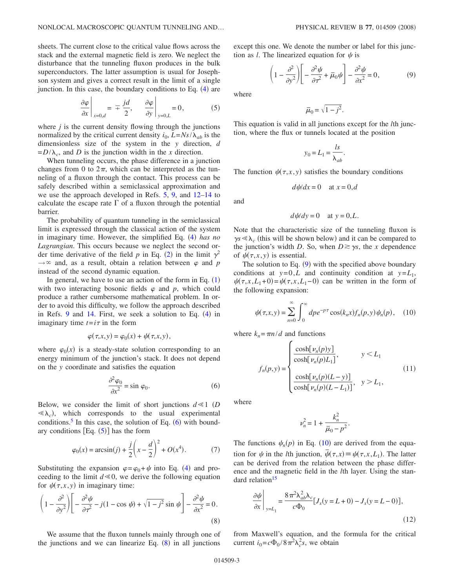sheets. The current close to the critical value flows across the stack and the external magnetic field is zero. We neglect the disturbance that the tunneling fluxon produces in the bulk superconductors. The latter assumption is usual for Josephson system and gives a correct result in the limit of a single junction. In this case, the boundary conditions to Eq. ([4](#page-1-2)) are

$$
\left. \frac{\partial \varphi}{\partial x} \right|_{x=0,d} = \mp \frac{jd}{2}, \quad \left. \frac{\partial \varphi}{\partial y} \right|_{y=0,L} = 0, \quad (5)
$$

<span id="page-2-1"></span>where  $j$  is the current density flowing through the junctions normalized by the critical current density  $i_0$ ,  $L = N_s / \lambda_{ab}$  is the dimensionless size of the system in the *y* direction, *d*  $= D/\lambda_c$ , and *D* is the junction width in the *x* direction.

When tunneling occurs, the phase difference in a junction changes from 0 to  $2\pi$ , which can be interpreted as the tunneling of a fluxon through the contact. This process can be safely described within a semiclassical approximation and we use the approach developed in Refs. [5,](#page-7-4) [9,](#page-8-2) and [12](#page-8-5)[–14](#page-8-6) to calculate the escape rate  $\Gamma$  of a fluxon through the potential barrier.

The probability of quantum tunneling in the semiclassical limit is expressed through the classical action of the system in imaginary time. However, the simplified Eq. ([4](#page-1-2)) has no *Lagrangian*. This occurs because we neglect the second or-der time derivative of the field p in Eq. ([2](#page-1-0)) in the limit  $\gamma^2$  $\rightarrow \infty$  and, as a result, obtain a relation between  $\varphi$  and *p* instead of the second dynamic equation.

In general, we have to use an action of the form in Eq.  $(1)$  $(1)$  $(1)$ with two interacting bosonic fields  $\varphi$  and  $p$ , which could produce a rather cumbersome mathematical problem. In order to avoid this difficulty, we follow the approach described in Refs. [9](#page-8-2) and  $14$  $14$ . First, we seek a solution to Eq.  $(4)$  in imaginary time  $t = i\tau$  in the form

$$
\varphi(\tau, x, y) = \varphi_0(x) + \psi(\tau, x, y),
$$

where  $\varphi_0(x)$  is a steady-state solution corresponding to an energy minimum of the junction's stack. It does not depend on the *y* coordinate and satisfies the equation

$$
\frac{\partial^2 \varphi_0}{\partial x^2} = \sin \varphi_0.
$$
 (6)

<span id="page-2-0"></span>Below, we consider the limit of short junctions  $d \le 1$  (*D*  $\ll \lambda_c$ ), which corresponds to the usual experimental conditions.<sup>5</sup> In this case, the solution of Eq.  $(6)$  $(6)$  $(6)$  with boundary conditions  $[Eq. (5)]$  $[Eq. (5)]$  $[Eq. (5)]$  has the form

$$
\varphi_0(x) = \arcsin(j) + \frac{j}{2} \left( x - \frac{d}{2} \right)^2 + O(x^4).
$$
 (7)

Substituting the expansion  $\varphi = \varphi_0 + \psi$  into Eq. ([4](#page-1-2)) and proceeding to the limit  $d \le 0$ , we derive the following equation for  $\psi(\tau, x, y)$  in imaginary time:

<span id="page-2-2"></span>
$$
\left(1 - \frac{\partial^2}{\partial y^2}\right) \left[ -\frac{\partial^2 \psi}{\partial \tau^2} - j(1 - \cos \psi) + \sqrt{1 - j^2} \sin \psi \right] - \frac{\partial^2 \psi}{\partial x^2} = 0.
$$
\n(8)

We assume that the fluxon tunnels mainly through one of the junctions and we can linearize Eq.  $(8)$  $(8)$  $(8)$  in all junctions

<span id="page-2-3"></span>except this one. We denote the number or label for this junction as *l*. The linearized equation for  $\psi$  is

$$
\left(1 - \frac{\partial^2}{\partial y^2}\right) \left[ -\frac{\partial^2 \psi}{\partial \tau^2} + \bar{\mu}_0 \psi \right] - \frac{\partial^2 \psi}{\partial x^2} = 0, \tag{9}
$$

where

$$
\bar{\mu}_0 = \sqrt{1-j^2}.
$$

This equation is valid in all junctions except for the *l*th junction, where the flux or tunnels located at the position

$$
y_0 = L_1 = \frac{ls}{\lambda_{ab}}.
$$

The function  $\psi(\tau, x, y)$  satisfies the boundary conditions

$$
d\psi/dx = 0 \quad \text{at } x = 0, d
$$

and

$$
d\psi/dy = 0 \quad \text{at } y = 0, L.
$$

Note that the characteristic size of the tunneling fluxon is  $\gamma s \ll \lambda_c$  (this will be shown below) and it can be compared to the junction's width *D*. So, when  $D \ge \gamma s$ , the *x* dependence of  $\psi(\tau, x, y)$  is essential.

The solution to Eq.  $(9)$  $(9)$  $(9)$  with the specified above boundary conditions at  $y=0,L$  and continuity condition at  $y=L_1$ ,  $\psi(\tau, x, L_1+0) = \psi(\tau, x, L_1-0)$  can be written in the form of the following expansion:

<span id="page-2-4"></span>
$$
\psi(\tau, x, y) = \sum_{n=0}^{\infty} \int_0^{\infty} d\rho e^{-\rho \tau} \cos(k_n x) f_n(p, y) \psi_n(p), \quad (10)
$$

where  $k_n = \pi n/d$  and functions

$$
f_n(p, y) = \begin{cases} \frac{\cosh[\nu_n(p)y]}{\cosh[\nu_n(p)L_1]}, & y < L_1 \\ \frac{\cosh[\nu_n(p)(L-y)]}{\cosh[\nu_n(p)(L-L_1)]}, & y > L_1, \end{cases}
$$
(11)

where

$$
\nu_n^2 = 1 + \frac{k_n^2}{\bar{\mu}_0 - p^2}.
$$

The functions  $\psi_n(p)$  in Eq. ([10](#page-2-4)) are derived from the equation for  $\psi$  in the *l*th junction,  $\overline{\psi}(\tau, x) \equiv \psi(\tau, x, L_1)$ . The latter can be derived from the relation between the phase difference and the magnetic field in the *l*th layer. Using the standard relation<sup>15</sup>

<span id="page-2-5"></span>
$$
\frac{\partial \psi}{\partial x}\Big|_{y=L_1} = \frac{8\pi^2 \lambda_{ab}^2 \lambda_c}{c\Phi_0} [J_x(y=L+0) - J_x(y=L-0)],\tag{12}
$$

from Maxwell's equation, and the formula for the critical current  $i_0 = c \Phi_0 / 8 \pi^2 \lambda_c^2 s$ , we obtain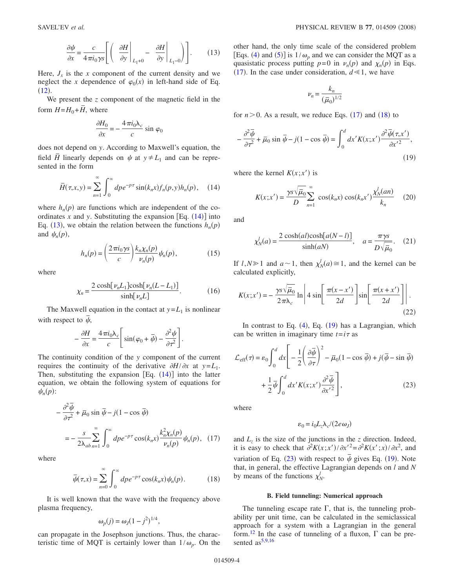$$
\frac{\partial \psi}{\partial x} = \frac{c}{4\pi i_0 \gamma s} \left[ \left( \frac{\partial H}{\partial y} \bigg|_{L_1 + 0} - \frac{\partial H}{\partial y} \bigg|_{L_1 - 0} \right) \right].
$$
 (13)

<span id="page-3-1"></span>Here,  $J_x$  is the x component of the current density and we neglect the *x* dependence of  $\varphi_0(x)$  in left-hand side of Eq.  $(12).$  $(12).$  $(12).$ 

We present the *z* component of the magnetic field in the form  $H = H_0 + \overline{H}$ , where

$$
\frac{\partial H_0}{\partial x} = -\frac{4\pi i_0 \lambda_c}{c} \sin \varphi_0
$$

does not depend on *y*. According to Maxwell's equation, the field  $\overline{H}$  linearly depends on  $\psi$  at  $y \neq L_1$  and can be represented in the form

<span id="page-3-0"></span>
$$
\overline{H}(\tau, x, y) = \sum_{n=1}^{\infty} \int_0^{\infty} dp e^{-p\tau} \sin(k_n x) f_n(p, y) h_n(p), \quad (14)
$$

where  $h_n(p)$  are functions which are independent of the coordinates  $x$  and  $y$ . Substituting the expansion  $[Eq. (14)]$  $[Eq. (14)]$  $[Eq. (14)]$  into Eq. ([13](#page-3-1)), we obtain the relation between the functions  $h_n(p)$ and  $\psi_n(p)$ ,

$$
h_n(p) = \left(\frac{2\pi i_0 \gamma s}{c}\right) \frac{k_n \chi_n(p)}{\nu_n(p)} \psi_n(p),\tag{15}
$$

where

$$
\chi_n = \frac{2\cosh[\nu_n L_1] \cosh[\nu_n (L - L_1)]}{\sinh[\nu_n L]}.\tag{16}
$$

The Maxwell equation in the contact at  $y = L_1$  is nonlinear with respect to  $\bar{\psi}$ ,

$$
-\frac{\partial H}{\partial x} = \frac{4\,\pi i_0 \lambda_c}{c}\Bigg[ \sin(\varphi_0 + \bar{\psi}) - \frac{\partial^2 \psi}{\partial \tau^2} \Bigg].
$$

The continuity condition of the *y* component of the current requires the continuity of the derivative  $\partial H / \partial x$  at  $y = L_1$ . Then, substituting the expansion  $[Eq. (14)]$  $[Eq. (14)]$  $[Eq. (14)]$  into the latter equation, we obtain the following system of equations for  $\psi_n(p)$ :

<span id="page-3-2"></span>
$$
-\frac{\partial^2 \overline{\psi}}{\partial \tau^2} + \overline{\mu}_0 \sin \overline{\psi} - j(1 - \cos \overline{\psi})
$$
  
=  $-\frac{s}{2\lambda_{ab}} \sum_{n=1}^{\infty} \int_0^{\infty} dp e^{-p\tau} \cos(k_n x) \frac{k_n^2 \chi_n(p)}{\nu_n(p)} \psi_n(p),$  (17)

<span id="page-3-3"></span>where

$$
\overline{\psi}(\tau, x) = \sum_{n=0}^{\infty} \int_0^{\infty} dp e^{-p\tau} \cos(k_n x) \psi_n(p).
$$
 (18)

It is well known that the wave with the frequency above plasma frequency,

$$
\omega_p(j) = \omega_j (1 - j^2)^{1/4},
$$

can propagate in the Josephson junctions. Thus, the characteristic time of MQT is certainly lower than  $1/\omega_p$ . On the other hand, the only time scale of the considered problem [Eqs. ([4](#page-1-2)) and ([5](#page-2-1))] is  $1/\omega_p$  and we can consider the MQT as a quasistatic process putting  $p=0$  in  $\nu_n(p)$  and  $\chi_n(p)$  in Eqs. ([17](#page-3-2)). In the case under consideration,  $d \le 1$ , we have

$$
\nu_n = \frac{k_n}{\left(\overline{\mu}_0\right)^{1/2}}
$$

for  $n > 0$ . As a result, we reduce Eqs.  $(17)$  $(17)$  $(17)$  and  $(18)$  $(18)$  $(18)$  to

<span id="page-3-4"></span>
$$
-\frac{\partial^2 \overline{\psi}}{\partial \tau^2} + \overline{\mu}_0 \sin \overline{\psi} - j(1 - \cos \overline{\psi}) = \int_0^d dx' K(x; x') \frac{\partial^2 \overline{\psi}(\tau, x')}{\partial x'^2},
$$
\n(19)

<span id="page-3-6"></span>where the kernel  $K(x; x')$  is

$$
K(x; x') = \frac{\gamma s \sqrt{\overline{\mu}_0}}{D} \sum_{n=1}^{\infty} \cos(k_n x) \cos(k_n x') \frac{\chi'_N(an)}{k_n}
$$
 (20)

<span id="page-3-7"></span>and

$$
\chi_N^l(a) = \frac{2 \cosh(al)\cosh[a(N-l)]}{\sinh(aN)}, \quad a = \frac{\pi \gamma s}{D\sqrt{\overline{\mu}_0}}.\tag{21}
$$

If  $l, N \ge 1$  and  $a \sim 1$ , then  $\chi_N^l(a) \cong 1$ , and the kernel can be calculated explicitly,

$$
K(x; x') = -\frac{\gamma s \sqrt{\bar{\mu}_0}}{2\pi\lambda_c} \ln \left| 4 \sin \left[ \frac{\pi(x - x')}{2d} \right] \sin \left[ \frac{\pi(x + x')}{2d} \right] \right|.
$$
\n(22)

In contrast to Eq.  $(4)$  $(4)$  $(4)$ , Eq.  $(19)$  $(19)$  $(19)$  has a Lagrangian, which can be written in imaginary time  $t = i\tau$  as

<span id="page-3-5"></span>
$$
\mathcal{L}_{\text{eff}}(\tau) = \varepsilon_0 \int_0^d dx \left[ -\frac{1}{2} \left( \frac{\partial \overline{\psi}}{\partial \tau} \right)^2 - \overline{\mu}_0 (1 - \cos \overline{\psi}) + j(\overline{\psi} - \sin \overline{\psi}) + \frac{1}{2} \overline{\psi} \int_0^d dx' K(x; x') \frac{\partial^2 \overline{\psi}}{\partial x'^2} \right],
$$
\n(23)

where

$$
\varepsilon_0 = i_0 L_z \lambda_c / (2e\omega_J)
$$

and  $L_z$  is the size of the junctions in the  $z$  direction. Indeed, it is easy to check that  $\partial^2 K(x; x') / \partial x'^2 = \partial^2 K(x'; x) / \partial x^2$ , and variation of Eq. ([23](#page-3-5)) with respect to  $\bar{\psi}$  gives Eq. ([19](#page-3-4)). Note that, in general, the effective Lagrangian depends on *l* and *N* by means of the functions  $\chi^l_N$ .

#### **B. Field tunneling: Numerical approach**

The tunneling escape rate  $\Gamma$ , that is, the tunneling probability per unit time, can be calculated in the semiclassical approach for a system with a Lagrangian in the general form.<sup>12</sup> In the case of tunneling of a fluxon,  $\Gamma$  can be presented  $as^{5,9,16}$  $as^{5,9,16}$  $as^{5,9,16}$  $as^{5,9,16}$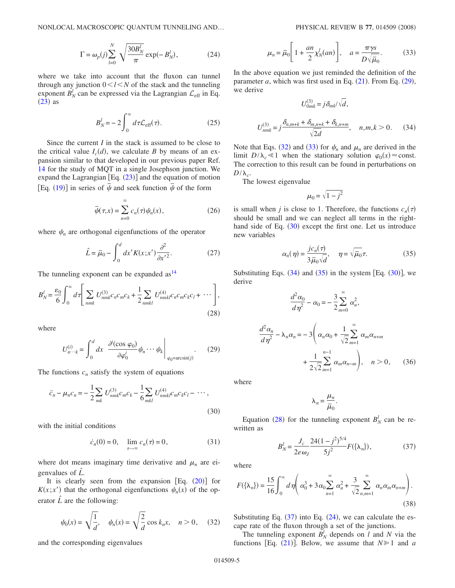<span id="page-4-8"></span>NONLOCAL MACROSCOPIC QUANTUM TUNNELING AND...

$$
\Gamma = \omega_p(j) \sum_{l=0}^{N} \sqrt{\frac{30B_N^l}{\pi}} \exp(-B_N^l), \qquad (24)
$$

where we take into account that the fluxon can tunnel through any junction  $0 < l < N$  of the stack and the tunneling exponent  $B_N^l$  can be expressed via the Lagrangian  $\mathcal{L}_{eff}$  in Eq.  $(23)$  $(23)$  $(23)$  as

$$
B_N^l = -2 \int_0^\infty d\tau \mathcal{L}_{\text{eff}}(\tau). \tag{25}
$$

Since the current *I* in the stack is assumed to be close to the critical value  $I_c(d)$ , we calculate *B* by means of an expansion similar to that developed in our previous paper Ref. [14](#page-8-6) for the study of MQT in a single Josephson junction. We expand the Lagrangian  $[Eq. (23)]$  $[Eq. (23)]$  $[Eq. (23)]$  and the equation of motion Eq. ([19](#page-3-4))] in series of  $\bar{\psi}$  and seek function  $\bar{\psi}$  of the form

$$
\overline{\psi}(\tau, x) = \sum_{n=0}^{\infty} c_n(\tau) \psi_n(x), \qquad (26)
$$

where  $\psi_n$  are orthogonal eigenfunctions of the operator

$$
\hat{L} = \overline{\mu}_0 - \int_0^d dx' K(x; x') \frac{\partial^2}{\partial x'^2}.
$$
 (27)

The tunneling exponent can be expanded  $as<sup>14</sup>$ 

<span id="page-4-6"></span>
$$
B_N^l = \frac{\varepsilon_0}{6} \int_0^\infty d\tau \Bigg[ \sum_{nmk} U_{nmk}^{(3)} c_n c_m c_k + \frac{1}{2} \sum_{nmkl} U_{nmkl}^{(4)} c_n c_m c_k c_l + \cdots \Bigg],
$$
\n(28)

<span id="page-4-0"></span>where

$$
U_{n\cdots k}^{(i)} = \int_0^d dx \left. \frac{\partial^i(\cos \varphi_0)}{\partial \varphi_0^i} \psi_n \cdots \psi_k \right|_{\varphi_0 = \arcsin(j)}.
$$
 (29)

<span id="page-4-3"></span>The functions  $c_n$  satisfy the system of equations

$$
\ddot{c}_n - \mu_n c_n = -\frac{1}{2} \sum_{mk} U_{nmk}^{(3)} c_m c_k - \frac{1}{6} \sum_{mkl} U_{nmkl}^{(4)} c_m c_k c_l - \cdots,
$$
\n(30)

with the initial conditions

$$
\dot{c}_n(0) = 0, \quad \lim_{\tau \to \infty} c_n(\tau) = 0, \tag{31}
$$

where dot means imaginary time derivative and  $\mu_n$  are eigenvalues of *L ˆ*.

It is clearly seen from the expansion  $[Eq. (20)]$  $[Eq. (20)]$  $[Eq. (20)]$  for  $K(x; x')$  that the orthogonal eigenfunctions  $\psi_n(x)$  of the operator  $\hat{L}$  are the following:

<span id="page-4-1"></span>
$$
\psi_0(x) = \sqrt{\frac{1}{d}}, \quad \psi_n(x) = \sqrt{\frac{2}{d}} \cos k_n x, \quad n > 0,
$$
 (32)

and the corresponding eigenvalues

$$
\mu_n = \bar{\mu}_0 \left[ 1 + \frac{an}{2} \chi_N^l(an) \right], \quad a = \frac{\pi \gamma s}{D \sqrt{\bar{\mu}_0}}. \tag{33}
$$

<span id="page-4-4"></span><span id="page-4-2"></span>In the above equation we just reminded the definition of the parameter  $a$ , which was first used in Eq.  $(21)$  $(21)$  $(21)$ . From Eq.  $(29)$  $(29)$  $(29)$ , we derive

$$
U_{0mk}^{(3)} = j \delta_{mk} / \sqrt{d},
$$
  

$$
U_{nmk}^{(3)} = j \frac{\delta_{n,m+k} + \delta_{m,n+k} + \delta_{k,n+m}}{\sqrt{2d}}, \quad n, m, k > 0.
$$
 (34)

Note that Eqs. ([32](#page-4-1)) and ([33](#page-4-2)) for  $\psi_n$  and  $\mu_n$  are derived in the limit  $D/\lambda_c \ll 1$  when the stationary solution  $\varphi_0(x) \approx \text{const.}$ The correction to this result can be found in perturbations on  $D/\lambda_c$ .

The lowest eigenvalue

$$
\mu_0 = \sqrt{1-j^2}
$$

is small when *j* is close to 1. Therefore, the functions  $c_n(\tau)$ should be small and we can neglect all terms in the right-hand side of Eq. ([30](#page-4-3)) except the first one. Let us introduce new variables

$$
\alpha_n(\eta) = \frac{jc_n(\tau)}{3\bar{\mu}_0 \sqrt{d}}, \quad \eta = \sqrt{\bar{\mu}_0} \tau.
$$
 (35)

<span id="page-4-9"></span><span id="page-4-5"></span>Substituting Eqs.  $(34)$  $(34)$  $(34)$  and  $(35)$  $(35)$  $(35)$  in the system [Eq.  $(30)$  $(30)$  $(30)$ ], we derive

$$
\frac{d^2\alpha_0}{d\eta^2} - \alpha_0 = -\frac{3}{2} \sum_{m=0}^{\infty} \alpha_n^2,
$$
  

$$
\frac{d^2\alpha_n}{d\eta^2} - \lambda_n \alpha_n = -3 \left( \alpha_n \alpha_0 + \frac{1}{\sqrt{2}} \sum_{m=1}^{\infty} \alpha_m \alpha_{n+m} + \frac{1}{2\sqrt{2}} \sum_{m=1}^{n-1} \alpha_m \alpha_{n-m} \right), \quad n > 0, \quad (36)
$$

where

 $\lambda_n = \frac{\mu_n}{n}$  $\frac{\overline{r} \cdot n}{\overline{\mu}_0}$ .

<span id="page-4-7"></span>Equation ([28](#page-4-6)) for the tunneling exponent  $B_N^l$  can be rewritten as

$$
B_N^l = \frac{J_c}{2e\omega_J} \frac{24(1-j^2)^{5/4}}{5j^2} F(\{\lambda_n\}),\tag{37}
$$

where

$$
F(\{\lambda_n\}) = \frac{15}{16} \int_0^{\infty} d\eta \left( \alpha_0^3 + 3\alpha_0 \sum_{n=1}^{\infty} \alpha_n^2 + \frac{3}{\sqrt{2}} \sum_{n,m=1}^{\infty} \alpha_n \alpha_m \alpha_{n+m} \right).
$$
\n(38)

Substituting Eq.  $(37)$  $(37)$  $(37)$  into Eq.  $(24)$  $(24)$  $(24)$ , we can calculate the escape rate of the fluxon through a set of the junctions.

The tunneling exponent  $B_N^l$  depends on *l* and *N* via the functions [Eq.  $(21)$  $(21)$  $(21)$ ]. Below, we assume that  $N \ge 1$  and *a*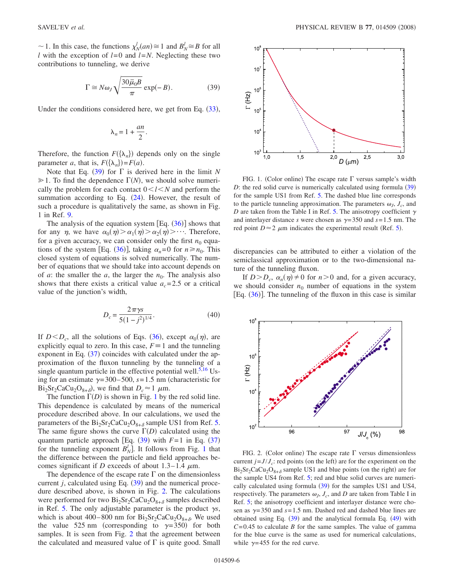<span id="page-5-0"></span> $\sim$  1. In this case, the functions  $\chi_N^l(an) \cong 1$  and  $B_N^l \cong B$  for all *l* with the exception of *l*=0 and *l*=*N*. Neglecting these two contributions to tunneling, we derive

$$
\Gamma \cong N\omega_J \sqrt{\frac{30\bar{\mu}_0 B}{\pi}} \exp(-B). \tag{39}
$$

Under the conditions considered here, we get from Eq. ([33](#page-4-2)),

$$
\lambda_n = 1 + \frac{an}{2}.
$$

Therefore, the function  $F(\{\lambda_n\})$  depends only on the single parameter *a*, that is,  $F(\{\lambda_n\}) = F(a)$ .

Note that Eq.  $(39)$  $(39)$  $(39)$  for  $\Gamma$  is derived here in the limit N  $\geq 1$ . To find the dependence  $\Gamma(N)$ , we should solve numerically the problem for each contact  $0 \le l \le N$  and perform the summation according to Eq.  $(24)$  $(24)$  $(24)$ . However, the result of such a procedure is qualitatively the same, as shown in Fig. 1 in Ref. [9.](#page-8-2)

The analysis of the equation system  $[Eq. (36)]$  $[Eq. (36)]$  $[Eq. (36)]$  shows that for any  $\eta$ , we have  $\alpha_0(\eta) > \alpha_1(\eta) > \alpha_2(\eta) > \cdots$ . Therefore, for a given accuracy, we can consider only the first  $n_0$  equa-tions of the system [Eq. ([36](#page-4-9))], taking  $\alpha_n = 0$  for  $n \ge n_0$ . This closed system of equations is solved numerically. The number of equations that we should take into account depends on of *a*: the smaller the *a*, the larger the  $n_0$ . The analysis also shows that there exists a critical value  $a_c = 2.5$  or a critical value of the junction's width,

$$
D_c = \frac{2\pi\gamma s}{5(1-j^2)^{1/4}}.\tag{40}
$$

If  $D < D_c$ , all the solutions of Eqs. ([36](#page-4-9)), except  $\alpha_0(\eta)$ , are explicitly equal to zero. In this case,  $F \equiv 1$  and the tunneling exponent in Eq.  $(37)$  $(37)$  $(37)$  coincides with calculated under the approximation of the fluxon tunneling by the tunneling of a single quantum particle in the effective potential well.<sup>5,[16](#page-8-8)</sup> Using for an estimate  $\gamma$ =300–500, *s*=1.5 nm (characteristic for  $Bi_2Sr_2CaCu_2O_{8+\delta}$ , we find that  $D_c \approx 1 \mu m$ .

The function  $\Gamma(D)$  is shown in Fig. [1](#page-5-1) by the red solid line. This dependence is calculated by means of the numerical procedure described above. In our calculations, we used the parameters of the  $Bi_2Sr_2CaCu_2O_{8+\delta}$  sample US1 from Ref. [5.](#page-7-4) The same figure shows the curve  $\Gamma(D)$  calculated using the quantum particle approach [Eq.  $(39)$  $(39)$  $(39)$  with  $F=1$  in Eq.  $(37)$  $(37)$  $(37)$ for the tunneling exponent  $B_N^l$ . It follows from Fig. [1](#page-5-1) that the difference between the particle and field approaches becomes significant if *D* exceeds of about  $1.3-1.4 \mu$ m.

The dependence of the escape rate  $\Gamma$  on the dimensionless current  $j$ , calculated using Eq.  $(39)$  $(39)$  $(39)$  and the numerical procedure described above, is shown in Fig. [2.](#page-5-2) The calculations were performed for two  $Bi_2Sr_2CaCu_2O_{8+\delta}$  samples described in Ref. [5.](#page-7-4) The only adjustable parameter is the product  $\gamma s$ , which is about 400–800 nm for  $Bi_2Sr_2CaCu_2O_{8+\delta}$ . We used the value 525 nm (corresponding to  $\gamma = 350$ ) for both samples. It is seen from Fig. [2](#page-5-2) that the agreement between the calculated and measured value of  $\Gamma$  is quite good. Small

<span id="page-5-1"></span>

FIG. 1. (Color online) The escape rate  $\Gamma$  versus sample's width  $D$ : the red solid curve is numerically calculated using formula  $(39)$  $(39)$  $(39)$ for the sample US1 from Ref. [5.](#page-7-4) The dashed blue line corresponds to the particle tunneling approximation. The parameters  $\omega_j$ ,  $J_c$ , and *D* are taken from the Table I in Ref. [5.](#page-7-4) The anisotropy coefficient  $\gamma$ and interlayer distance *s* were chosen as  $\gamma = 350$  and  $s = 1.5$  nm. The red point  $D \approx 2 \mu m$  indicates the experimental result (Ref. [5](#page-7-4)).

discrepancies can be attributed to either a violation of the semiclassical approximation or to the two-dimensional nature of the tunneling fluxon.

If  $D > D_c$ ,  $\alpha_n(\eta) \neq 0$  for  $n > 0$  and, for a given accuracy, we should consider  $n_0$  number of equations in the system [Eq.  $(36)$  $(36)$  $(36)$ ]. The tunneling of the fluxon in this case is similar

<span id="page-5-2"></span>

FIG. 2. (Color online) The escape rate  $\Gamma$  versus dimensionless current  $j = J/J_c$ : red points (on the left) are for the experiment on the  $Bi_2Sr_2CaCu_2O_{8+\delta}$  sample US1 and blue points (on the right) are for the sample US4 from Ref. [5;](#page-7-4) red and blue solid curves are numerically calculated using formula  $(39)$  $(39)$  $(39)$  for the samples US1 and US4, respectively. The parameters  $\omega_J$ ,  $J_c$ , and  $D$  are taken from Table I in Ref. [5;](#page-7-4) the anisotropy coefficient and interlayer distance were chosen as  $\gamma$ =350 and  $s$ =1.5 nm. Dashed red and dashed blue lines are obtained using Eq.  $(39)$  $(39)$  $(39)$  and the analytical formula Eq.  $(49)$  $(49)$  $(49)$  with  $C=0.45$  to calculate *B* for the same samples. The value of gamma for the blue curve is the same as used for numerical calculations, while  $\gamma$ =455 for the red curve.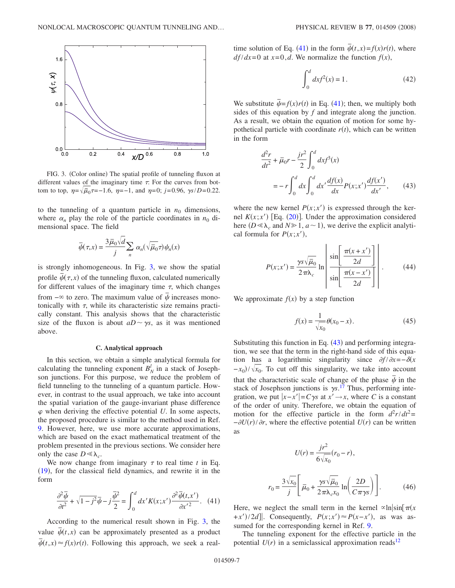<span id="page-6-0"></span>

FIG. 3. (Color online) The spatial profile of tunneling fluxon at different values of the imaginary time  $\tau$ . For the curves from bottom to top,  $\eta = \sqrt{\tilde{\mu}_0} \tau = -1.6$ ,  $\eta = -1$ , and  $\eta = 0$ ; *j*=0.96, *ys*/*D*=0.22.

to the tunneling of a quantum particle in  $n_0$  dimensions, where  $\alpha_n$  play the role of the particle coordinates in  $n_0$  dimensional space. The field

$$
\overline{\psi}(\tau, x) = \frac{3\overline{\mu}_0\sqrt{d}}{j} \sum_n \alpha_n(\sqrt{\overline{\mu}_0}\tau) \psi_n(x)
$$

is strongly inhomogeneous. In Fig. [3,](#page-6-0) we show the spatial profile  $\bar{\psi}(\tau, x)$  of the tunneling fluxon, calculated numerically for different values of the imaginary time  $\tau$ , which changes from  $-\infty$  to zero. The maximum value of  $\bar{\psi}$  increases monotonically with  $\tau$ , while its characteristic size remains practically constant. This analysis shows that the characteristic size of the fluxon is about  $aD \sim \gamma s$ , as it was mentioned above.

### **C. Analytical approach**

In this section, we obtain a simple analytical formula for calculating the tunneling exponent  $B_N^l$  in a stack of Josephson junctions. For this purpose, we reduce the problem of field tunneling to the tunneling of a quantum particle. However, in contrast to the usual approach, we take into account the spatial variation of the gauge-invariant phase difference  $\varphi$  when deriving the effective potential U. In some aspects, the proposed procedure is similar to the method used in Ref. [9.](#page-8-2) However, here, we use more accurate approximations, which are based on the exact mathematical treatment of the problem presented in the previous sections. We consider here only the case  $D \ll \lambda_c$ .

We now change from imaginary  $\tau$  to real time  $t$  in Eq.  $(19)$  $(19)$  $(19)$ , for the classical field dynamics, and rewrite it in the form

<span id="page-6-1"></span>
$$
\frac{\partial^2 \overline{\psi}}{\partial t^2} + \sqrt{1 - j^2} \overline{\psi} - j \frac{\overline{\psi}^2}{2} = \int_0^d dx' K(x; x') \frac{\partial^2 \overline{\psi}(t, x')}{\partial x'^2}.
$$
 (41)

According to the numerical result shown in Fig. [3,](#page-6-0) the value  $\bar{\psi}(t, x)$  can be approximately presented as a product  $\overline{\psi}(t,x) \approx f(x)r(t)$ . Following this approach, we seek a realtime solution of Eq. ([41](#page-6-1)) in the form  $\overline{\psi}(t,x) = f(x)r(t)$ , where  $df/dx = 0$  at  $x = 0, d$ . We normalize the function  $f(x)$ ,

$$
\int_0^d dx f^2(x) = 1.
$$
 (42)

We substitute  $\overline{\psi} = f(x)r(t)$  in Eq. ([41](#page-6-1)); then, we multiply both sides of this equation by *f* and integrate along the junction. As a result, we obtain the equation of motion for some hypothetical particle with coordinate  $r(t)$ , which can be written in the form

<span id="page-6-2"></span>
$$
\frac{d^2r}{dt^2} + \bar{\mu}_0 r - \frac{jr^2}{2} \int_0^d dx f^3(x)
$$
  
=  $-r \int_0^d dx \int_0^d dx' \frac{df(x)}{dx} P(x; x') \frac{df(x')}{dx'},$  (43)

where the new kernel  $P(x; x')$  is expressed through the kernel  $K(x; x')$  [Eq. ([20](#page-3-6))]. Under the approximation considered here  $(D \le \lambda_c$  and  $N \ge 1$ ,  $a \sim 1$ ), we derive the explicit analytical formula for  $P(x; x')$ ,

$$
P(x; x') = \frac{\gamma s \sqrt{\overline{\mu}_0}}{2\pi\lambda_c} \ln \left[ \frac{\sin \left[ \frac{\pi(x+x')}{2d} \right]}{\sin \left[ \frac{\pi(x-x')}{2d} \right]} \right].
$$
 (44)

We approximate  $f(x)$  by a step function

$$
f(x) = \frac{1}{\sqrt{x_0}} \theta(x_0 - x). \tag{45}
$$

Substituting this function in Eq.  $(43)$  $(43)$  $(43)$  and performing integration, we see that the term in the right-hand side of this equation has a logarithmic singularity since  $\partial f / \partial x = -\delta(x)$  $-x_0$ / $\sqrt{x_0}$ . To cut off this singularity, we take into account that the characteristic scale of change of the phase  $\bar{\psi}$  in the stack of Josephson junctions is  $\gamma s$ .<sup>[17](#page-8-9)</sup> Thus, performing integration, we put  $|x-x'|=C\gamma s$  at  $x' \rightarrow x$ , where *C* is a constant of the order of unity. Therefore, we obtain the equation of motion for the effective particle in the form  $d^2r/dt^2 =$  $-\frac{\partial U(r)}{\partial r}$ , where the effective potential  $U(r)$  can be written as

$$
U(r) = \frac{jr^2}{6\sqrt{x_0}}(r_0 - r),
$$

$$
r_0 = \frac{3\sqrt{x_0}}{j} \left[ \overline{\mu}_0 + \frac{\gamma s \sqrt{\overline{\mu}_0}}{2\pi \lambda_c x_0} \ln\left(\frac{2D}{C\pi \gamma s}\right) \right].
$$
 (46)

Here, we neglect the small term in the kernel  $\alpha \ln |\sin \pi(x)|$ +*x*')/2*d*]. Consequently,  $P(x; x') \approx P(x-x')$ , as was assumed for the corresponding kernel in Ref. [9.](#page-8-2)

The tunneling exponent for the effective particle in the potential  $U(r)$  in a semiclassical approximation reads<sup>12</sup>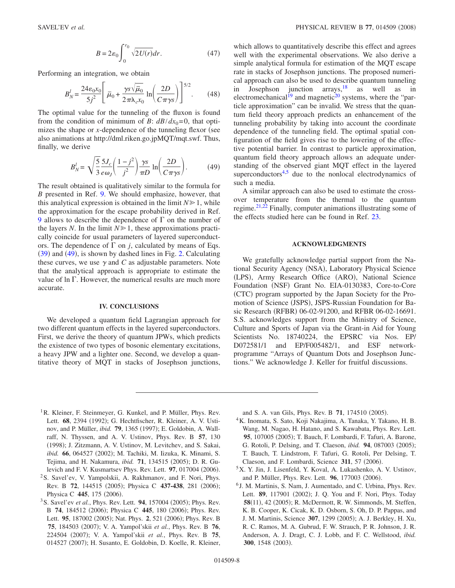$$
B = 2\varepsilon_0 \int_0^{r_0} \sqrt{2U(r)} dr.
$$
 (47)

Performing an integration, we obtain

$$
B_N^l = \frac{24\varepsilon_0 x_0}{5j^2} \left[ \overline{\mu}_0 + \frac{\gamma s \sqrt{\overline{\mu}_0}}{2\pi\lambda_c x_0} \ln \left( \frac{2D}{C\pi\gamma s} \right) \right]^{5/2} . \tag{48}
$$

The optimal value for the tunneling of the fluxon is found from the condition of minimum of *B*:  $d\frac{B}{dx_0} = 0$ , that optimizes the shape or  $x$ -dependence of the tunneling flexor (see also animations at http://dml.riken.go.jpMQT/mqt.swf. Thus, finally, we derive

$$
B_N^l = \sqrt{\frac{5}{3}} \frac{5J_c}{e\omega_J} \left(\frac{1-j^2}{j^2}\right) \frac{\gamma s}{\pi D} \ln \left(\frac{2D}{C\pi \gamma s}\right). \tag{49}
$$

<span id="page-7-6"></span>The result obtained is qualitatively similar to the formula for *B* presented in Ref. [9.](#page-8-2) We should emphasize, however, that this analytical expression is obtained in the limit  $N \geq 1$ , while the approximation for the escape probability derived in Ref. [9](#page-8-2) allows to describe the dependence of  $\Gamma$  on the number of the layers *N*. In the limit  $N \ge 1$ , these approximations practically coincide for usual parameters of layered superconductors. The dependence of  $\Gamma$  on *j*, calculated by means of Eqs. ([39](#page-5-0)) and ([49](#page-7-6)), is shown by dashed lines in Fig. [2.](#page-5-2) Calculating these curves, we use  $\gamma$  and *C* as adjustable parameters. Note that the analytical approach is appropriate to estimate the value of  $\ln \Gamma$ . However, the numerical results are much more accurate.

### **IV. CONCLUSIONS**

We developed a quantum field Lagrangian approach for two different quantum effects in the layered superconductors. First, we derive the theory of quantum JPWs, which predicts the existence of two types of bosonic elementary excitations, a heavy JPW and a lighter one. Second, we develop a quantitative theory of MQT in stacks of Josephson junctions, which allows to quantitatively describe this effect and agrees well with the experimental observations. We also derive a simple analytical formula for estimation of the MQT escape rate in stacks of Josephson junctions. The proposed numerical approach can also be used to describe quantum tunneling in Josephson junction  $\arrows$  as well as in electromechanical<sup>19</sup> and magnetic<sup>20</sup> systems, where the "particle approximation" can be invalid. We stress that the quantum field theory approach predicts an enhancement of the tunneling probability by taking into account the coordinate dependence of the tunneling field. The optimal spatial configuration of the field gives rise to the lowering of the effective potential barrier. In contrast to particle approximation, quantum field theory approach allows an adequate understanding of the observed giant MQT effect in the layered superconductors $4.5$  due to the nonlocal electrodynamics of such a media.

A similar approach can also be used to estimate the crossover temperature from the thermal to the quantum regime. $2^{1,22}$  $2^{1,22}$  $2^{1,22}$  Finally, computer animations illustrating some of the effects studied here can be found in Ref. [23.](#page-8-15)

### **ACKNOWLEDGMENTS**

We gratefully acknowledge partial support from the National Security Agency (NSA), Laboratory Physical Science (LPS), Army Research Office (ARO), National Science Foundation (NSF) Grant No. EIA-0130383, Core-to-Core (CTC) program supported by the Japan Society for the Promotion of Science (JSPS), JSPS-Russian Foundation for Basic Research (RFBR) 06-02-91200, and RFBR 06-02-16691. S.S. acknowledges support from the Ministry of Science, Culture and Sports of Japan via the Grant-in Aid for Young Scientists No. 18740224, the EPSRC via Nos. EP/ D072581/1 and EP/F005482/1, and ESF networkprogramme "Arrays of Quantum Dots and Josephson Junctions." We acknowledge J. Keller for fruitful discussions.

<span id="page-7-0"></span><sup>1</sup>R. Kleiner, F. Steinmeyer, G. Kunkel, and P. Müller, Phys. Rev. Lett. 68, 2394 (1992); G. Hechtfischer, R. Kleiner, A. V. Ustinov, and P. Müller, *ibid.* **79**, 1365 (1997); E. Goldobin, A. Wallraff, N. Thyssen, and A. V. Ustinov, Phys. Rev. B **57**, 130 (1998); J. Zitzmann, A. V. Ustinov, M. Levitchev, and S. Sakai, ibid. 66, 064527 (2002); M. Tachiki, M. Iizuka, K. Minami, S. Tejima, and H. Nakamura, *ibid.* **71**, 134515 (2005); D. R. Gulevich and F. V. Kusmartsev Phys. Rev. Lett. 97, 017004 (2006).

- <span id="page-7-1"></span>2S. Savel'ev, V. Yampolskii, A. Rakhmanov, and F. Nori, Phys. Rev. B 72, 144515 (2005); Physica C 437-438, 281 (2006); Physica C 445, 175 (2006).
- <span id="page-7-2"></span><sup>3</sup> S. Savel'ev *et al.*, Phys. Rev. Lett. **94**, 157004 (2005); Phys. Rev. B 74, 184512 (2006); Physica C 445, 180 (2006); Phys. Rev. Lett. 95, 187002 (2005); Nat. Phys. 2, 521 (2006); Phys. Rev. B **75**, 184503 (2007); V. A. Yampol'skii *et al.*, Phys. Rev. B **76**, 224504 (2007); V. A. Yampol'skii et al., Phys. Rev. B 75, 014527 (2007); H. Susanto, E. Goldobin, D. Koelle, R. Kleiner,

and S. A. van Gils, Phys. Rev. B 71, 174510 (2005).

- <span id="page-7-3"></span>4K. Inomata, S. Sato, Koji Nakajima, A. Tanaka, Y. Takano, H. B. Wang, M. Nagao, H. Hatano, and S. Kawabata, Phys. Rev. Lett. 95, 107005 (2005); T. Bauch, F. Lombardi, F. Tafuri, A. Barone, G. Rotoli, P. Delsing, and T. Claeson, *ibid.* **94**, 087003 (2005); T. Bauch, T. Lindstrom, F. Tafuri, G. Rotoli, Per Delsing, T. Claeson, and F. Lombardi, Science 311, 57 (2006).
- <span id="page-7-4"></span>5X. Y. Jin, J. Lisenfeld, Y. Koval, A. Lukashenko, A. V. Ustinov, and P. Müller, Phys. Rev. Lett. **96**, 177003 (2006).
- <span id="page-7-5"></span><sup>6</sup> J. M. Martinis, S. Nam, J. Aumentado, and C. Urbina, Phys. Rev. Lett. 89, 117901 (2002); J. Q. You and F. Nori, Phys. Today 58(11), 42 (2005); R. McDermott, R. W. Simmonds, M. Steffen, K. B. Cooper, K. Cicak, K. D. Osborn, S. Oh, D. P. Pappas, and J. M. Martinis, Science 307, 1299 (2005); A. J. Berkley, H. Xu, R. C. Ramos, M. A. Gubrud, F. W. Strauch, P. R. Johnson, J. R. Anderson, A. J. Dragt, C. J. Lobb, and F. C. Wellstood, *ibid.* 300, 1548 (2003).